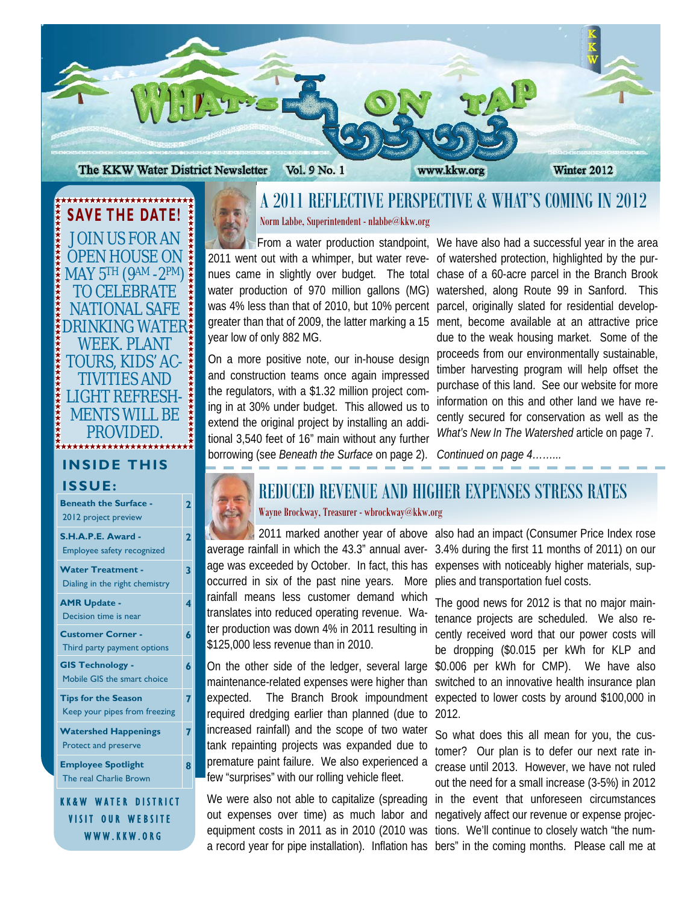

\*\*\*\*\*\*\*\*\*\*\*\*\*\*\*\*\*\*\*\*\*\* **SAVE THE DATE!**  JOIN US FOR AN OPEN HOUSE ON MAY 5TH (9AM -2PM) TO CELEBRATE NATIONAL SAFE DRINKING WATER WEEK. PLANT TOURS, KIDS' AC-TIVITIES AND LIGHT REFRESH-MENTS WILL BE PROVIDED. **INSIDE THIS ISSUE: Beneath the Surface - 2** 

2012 project preview

**S.H.A.P.E. Award -**  Employee safety recognized **2** 

**3** 

**4** 

**6** 

**6** 

**7** 

**7** 

**8** 

**Water Treatment -**  Dialing in the right chemistry

- **AMR Update**  Decision time is near
- **Customer Corner**  Third party payment options
- **GIS Technology**  Mobile GIS the smart choice

**Tips for the Season**  Keep your pipes from freezing

**Watershed Happenings**  Protect and preserve

**Employee Spotlight**  The real Charlie Brown

KK&W WATER DISTRICT VISIT OUR WEBSITE WWW.KKW.ORG

## A 2011 REFLECTIVE PERSPECTIVE & WHAT'S COMING IN 2012 Norm Labbe, Superintendent - nlabbe@kkw.org

2011 went out with a whimper, but water revenues came in slightly over budget. The total water production of 970 million gallons (MG) was 4% less than that of 2010, but 10% percent greater than that of 2009, the latter marking a 15 year low of only 882 MG.

On a more positive note, our in-house design and construction teams once again impressed the regulators, with a \$1.32 million project coming in at 30% under budget. This allowed us to extend the original project by installing an additional 3,540 feet of 16" main without any further borrowing (see *Beneath the Surface* on page 2).

From a water production standpoint, We have also had a successful year in the area of watershed protection, highlighted by the purchase of a 60-acre parcel in the Branch Brook watershed, along Route 99 in Sanford. This parcel, originally slated for residential development, become available at an attractive price due to the weak housing market. Some of the proceeds from our environmentally sustainable, timber harvesting program will help offset the purchase of this land. See our website for more information on this and other land we have recently secured for conservation as well as the *What's New In The Watershed* article on page 7.

*Continued on page 4……...* 

### REDUCED REVENUE AND HIGHER EXPENSES STRESS RATES Wayne Brockway, Treasurer - wbrockway@kkw.org

age was exceeded by October. In fact, this has occurred in six of the past nine years. More rainfall means less customer demand which translates into reduced operating revenue. Water production was down 4% in 2011 resulting in \$125,000 less revenue than in 2010.

On the other side of the ledger, several large maintenance-related expenses were higher than expected. The Branch Brook impoundment required dredging earlier than planned (due to increased rainfall) and the scope of two water tank repainting projects was expanded due to premature paint failure. We also experienced a few "surprises" with our rolling vehicle fleet.

We were also not able to capitalize (spreading out expenses over time) as much labor and equipment costs in 2011 as in 2010 (2010 was

 2011 marked another year of above also had an impact (Consumer Price Index rose average rainfall in which the 43.3" annual aver-3.4% during the first 11 months of 2011) on our expenses with noticeably higher materials, supplies and transportation fuel costs.

> The good news for 2012 is that no major maintenance projects are scheduled. We also recently received word that our power costs will be dropping (\$0.015 per kWh for KLP and \$0.006 per kWh for CMP). We have also switched to an innovative health insurance plan expected to lower costs by around \$100,000 in 2012.

a record year for pipe installation). Inflation has bers" in the coming months. Please call me at So what does this all mean for you, the customer? Our plan is to defer our next rate increase until 2013. However, we have not ruled out the need for a small increase (3-5%) in 2012 in the event that unforeseen circumstances negatively affect our revenue or expense projections. We'll continue to closely watch "the num-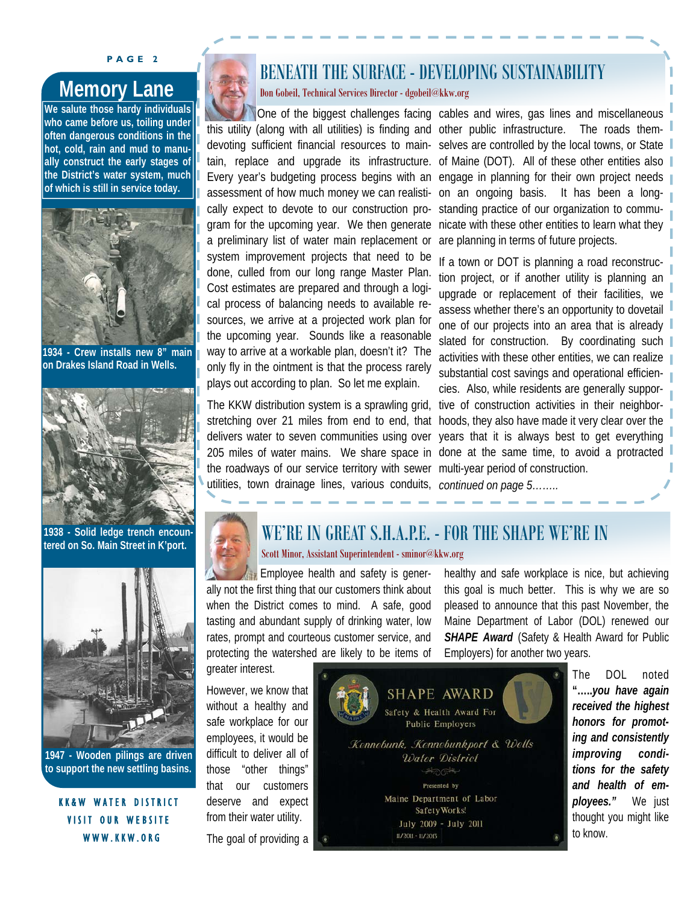#### **PAGE 2**

**We salute those hardy individuals who came before us, toiling under often dangerous conditions in the hot, cold, rain and mud to manually construct the early stages of the District's water system, much of which is still in service today.** 



**1934 - Crew installs new 8" main on Drakes Island Road in Wells.** 



**1938 - Solid ledge trench encountered on So. Main Street in K'port.** 



**1947 - Wooden pilings are driven to support the new settling basins.** 

KK&W WATER DISTRICT VISIT OUR WEBSITE WWW.KKW.ORG

# BENEATH THE SURFACE - DEVELOPING SUSTAINABILITY

**Memory Lane and Cooked Technical Services Director - dgobeil@kkw.org** 

devoting sufficient financial resources to mainassessment of how much money we can realistically expect to devote to our construction program for the upcoming year. We then generate a preliminary list of water main replacement or system improvement projects that need to be done, culled from our long range Master Plan. Cost estimates are prepared and through a logical process of balancing needs to available resources, we arrive at a projected work plan for the upcoming year. Sounds like a reasonable way to arrive at a workable plan, doesn't it? The only fly in the ointment is that the process rarely plays out according to plan. So let me explain.

The KKW distribution system is a sprawling grid, stretching over 21 miles from end to end, that delivers water to seven communities using over 205 miles of water mains. We share space in the roadways of our service territory with sewer utilities, town drainage lines, various conduits,

One of the biggest challenges facing cables and wires, gas lines and miscellaneous this utility (along with all utilities) is finding and other public infrastructure. The roads themtain, replace and upgrade its infrastructure. of Maine (DOT). All of these other entities also Every year's budgeting process begins with an engage in planning for their own project needs selves are controlled by the local towns, or State on an ongoing basis. It has been a longstanding practice of our organization to communicate with these other entities to learn what they are planning in terms of future projects.

> If a town or DOT is planning a road reconstruction project, or if another utility is planning an upgrade or replacement of their facilities, we assess whether there's an opportunity to dovetail one of our projects into an area that is already slated for construction. By coordinating such activities with these other entities, we can realize substantial cost savings and operational efficiencies. Also, while residents are generally supportive of construction activities in their neighborhoods, they also have made it very clear over the years that it is always best to get everything done at the same time, to avoid a protracted multi-year period of construction. *continued on page 5……..*



#### WE'RE IN GREAT S.H.A.P.E. - FOR THE SHAPE WE'RE IN Scott Minor, Assistant Superintendent - sminor@kkw.org

 Employee health and safety is generally not the first thing that our customers think about when the District comes to mind. A safe, good tasting and abundant supply of drinking water, low rates, prompt and courteous customer service, and protecting the watershed are likely to be items of

greater interest.

However, we know that without a healthy and safe workplace for our employees, it would be difficult to deliver all of those "other things" that our customers deserve and expect from their water utility. The goal of providing a



healthy and safe workplace is nice, but achieving this goal is much better. This is why we are so pleased to announce that this past November, the Maine Department of Labor (DOL) renewed our **SHAPE Award** (Safety & Health Award for Public Employers) for another two years.

> The DOL noted **"…..***you have again received the highest honors for promoting and consistently improving conditions for the safety and health of employees."* We just thought you might like to know.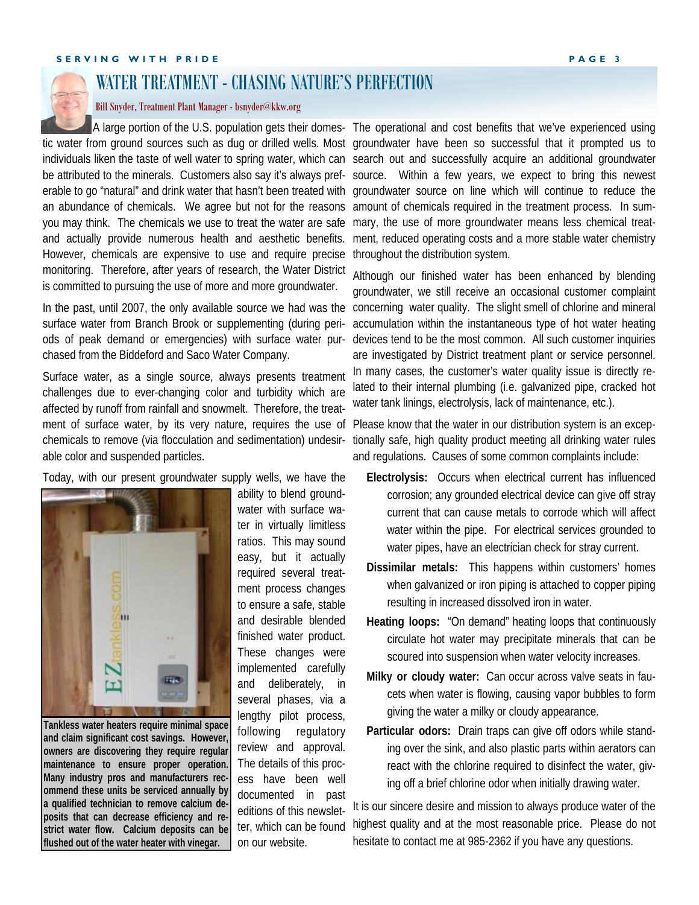

## WATER TREATMENT - CHASING NATURE'S PERFECTION

#### Bill Snyder, Treatment Plant Manager - bsnyder@kkw.org

an abundance of chemicals. We agree but not for the reasons amount of chemicals required in the treatment process. In sumyou may think. The chemicals we use to treat the water are safe mary, the use of more groundwater means less chemical treat-However, chemicals are expensive to use and require precise monitoring. Therefore, after years of research, the Water District is committed to pursuing the use of more and more groundwater.

surface water from Branch Brook or supplementing (during periods of peak demand or emergencies) with surface water purchased from the Biddeford and Saco Water Company.

Surface water, as a single source, always presents treatment challenges due to ever-changing color and turbidity which are affected by runoff from rainfall and snowmelt. Therefore, the treatment of surface water, by its very nature, requires the use of chemicals to remove (via flocculation and sedimentation) undesirable color and suspended particles.

Today, with our present groundwater supply wells, we have the



**Tankless water heaters require minimal space and claim significant cost savings. However, owners are discovering they require regular maintenance to ensure proper operation. Many industry pros and manufacturers recommend these units be serviced annually by a qualified technician to remove calcium deposits that can decrease efficiency and restrict water flow. Calcium deposits can be flushed out of the water heater with vinegar.** 

ability to blend groundwater with surface water in virtually limitless ratios. This may sound easy, but it actually required several treatment process changes to ensure a safe, stable and desirable blended finished water product. These changes were implemented carefully and deliberately, in several phases, via a lengthy pilot process, following regulatory review and approval. The details of this process have been well documented in past editions of this newsletter, which can be found on our website.

A large portion of the U.S. population gets their domes- The operational and cost benefits that we've experienced using tic water from ground sources such as dug or drilled wells. Most groundwater have been so successful that it prompted us to individuals liken the taste of well water to spring water, which can search out and successfully acquire an additional groundwater be attributed to the minerals. Customers also say it's always pref-source. Within a few years, we expect to bring this newest erable to go "natural" and drink water that hasn't been treated with groundwater source on line which will continue to reduce the and actually provide numerous health and aesthetic benefits. ment, reduced operating costs and a more stable water chemistry throughout the distribution system.

In the past, until 2007, the only available source we had was the concerning water quality. The slight smell of chlorine and mineral Although our finished water has been enhanced by blending groundwater, we still receive an occasional customer complaint accumulation within the instantaneous type of hot water heating devices tend to be the most common. All such customer inquiries are investigated by District treatment plant or service personnel. In many cases, the customer's water quality issue is directly related to their internal plumbing (i.e. galvanized pipe, cracked hot water tank linings, electrolysis, lack of maintenance, etc.).

> Please know that the water in our distribution system is an exceptionally safe, high quality product meeting all drinking water rules and regulations. Causes of some common complaints include:

- **Electrolysis:** Occurs when electrical current has influenced corrosion; any grounded electrical device can give off stray current that can cause metals to corrode which will affect water within the pipe. For electrical services grounded to water pipes, have an electrician check for stray current.
- **Dissimilar metals:** This happens within customers' homes when galvanized or iron piping is attached to copper piping resulting in increased dissolved iron in water.
- **Heating loops:** "On demand" heating loops that continuously circulate hot water may precipitate minerals that can be scoured into suspension when water velocity increases.
- **Milky or cloudy water:** Can occur across valve seats in faucets when water is flowing, causing vapor bubbles to form giving the water a milky or cloudy appearance.
- **Particular odors:** Drain traps can give off odors while standing over the sink, and also plastic parts within aerators can react with the chlorine required to disinfect the water, giving off a brief chlorine odor when initially drawing water.

It is our sincere desire and mission to always produce water of the highest quality and at the most reasonable price. Please do not hesitate to contact me at 985-2362 if you have any questions.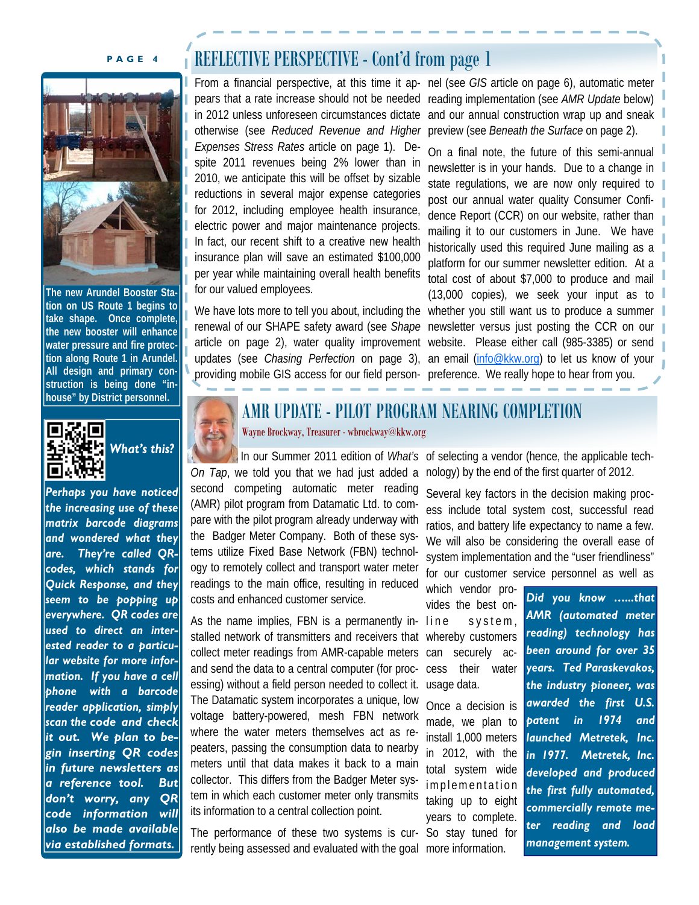

**The new Arundel Booster Station on US Route 1 begins to take shape. Once complete, the new booster will enhance water pressure and fire protection along Route 1 in Arundel. All design and primary construction is being done "inhouse" by District personnel.** 



# *What's this?*

*Perhaps you have noticed the increasing use of these matrix barcode diagrams and wondered what they are. They're called QRcodes, which stands for Quick Response, and they seem to be popping up everywhere. QR codes are used to direct an interested reader to a particular website for more information. If you have a cell phone with a barcode reader application, simply scan the code and check it out. We plan to begin inserting QR codes in future newsletters as a reference tool. But don't worry, any QR code information will also be made available via established formats.* 

# **PAGE 4 REFLECTIVE PERSPECTIVE - Cont'd from page 1**

pears that a rate increase should not be needed reading implementation (see *AMR Update* below) in 2012 unless unforeseen circumstances dictate and our annual construction wrap up and sneak otherwise (see *Reduced Revenue and Higher*  preview (see *Beneath the Surface* on page 2). *Expenses Stress Rates* article on page 1). Despite 2011 revenues being 2% lower than in 2010, we anticipate this will be offset by sizable reductions in several major expense categories for 2012, including employee health insurance, electric power and major maintenance projects. In fact, our recent shift to a creative new health insurance plan will save an estimated \$100,000 per year while maintaining overall health benefits for our valued employees.

providing mobile GIS access for our field person-preference. We really hope to hear from you.

From a financial perspective, at this time it ap- nel (see *GIS* article on page 6), automatic meter

We have lots more to tell you about, including the whether you still want us to produce a summer renewal of our SHAPE safety award (see *Shape*  newsletter versus just posting the CCR on our article on page 2), water quality improvement website. Please either call (985-3385) or send updates (see *Chasing Perfection* on page 3), an email [\(info@kkw.org](mailto:info@kkw.org)) to let us know of your On a final note, the future of this semi-annual newsletter is in your hands. Due to a change in state regulations, we are now only required to post our annual water quality Consumer Confidence Report (CCR) on our website, rather than mailing it to our customers in June. We have historically used this required June mailing as a platform for our summer newsletter edition. At a total cost of about \$7,000 to produce and mail (13,000 copies), we seek your input as to



# AMR UPDATE - PILOT PROGRAM NEARING COMPLETION

Wayne Brockway, Treasurer - wbrockway@kkw.org

*On Tap*, we told you that we had just added a nology) by the end of the first quarter of 2012. second competing automatic meter reading (AMR) pilot program from Datamatic Ltd. to compare with the pilot program already underway with the Badger Meter Company. Both of these systems utilize Fixed Base Network (FBN) technology to remotely collect and transport water meter readings to the main office, resulting in reduced costs and enhanced customer service.

As the name implies, FBN is a permanently in- line stalled network of transmitters and receivers that whereby customers collect meter readings from AMR-capable meters can securely acand send the data to a central computer (for processing) without a field person needed to collect it. The Datamatic system incorporates a unique, low voltage battery-powered, mesh FBN network where the water meters themselves act as repeaters, passing the consumption data to nearby meters until that data makes it back to a main collector. This differs from the Badger Meter system in which each customer meter only transmits its information to a central collection point.

The performance of these two systems is cur-So stay tuned for rently being assessed and evaluated with the goal more information.

In our Summer 2011 edition of *What's* of selecting a vendor (hence, the applicable tech-

Several key factors in the decision making process include total system cost, successful read ratios, and battery life expectancy to name a few. We will also be considering the overall ease of system implementation and the "user friendliness" for our customer service personnel as well as

which vendor provides the best ons y s t e m, cess their water usage data.

Once a decision is made, we plan to install 1,000 meters in 2012, with the total system wide implementation taking up to eight years to complete.

*Did you know …...that AMR (automated meter reading) technology has been around for over 35 years. Ted Paraskevakos, the industry pioneer, was awarded the first U.S. patent in 1974 and launched Metretek, Inc. in 1977. Metretek, Inc. developed and produced the first fully automated, commercially remote meter reading and load management system.*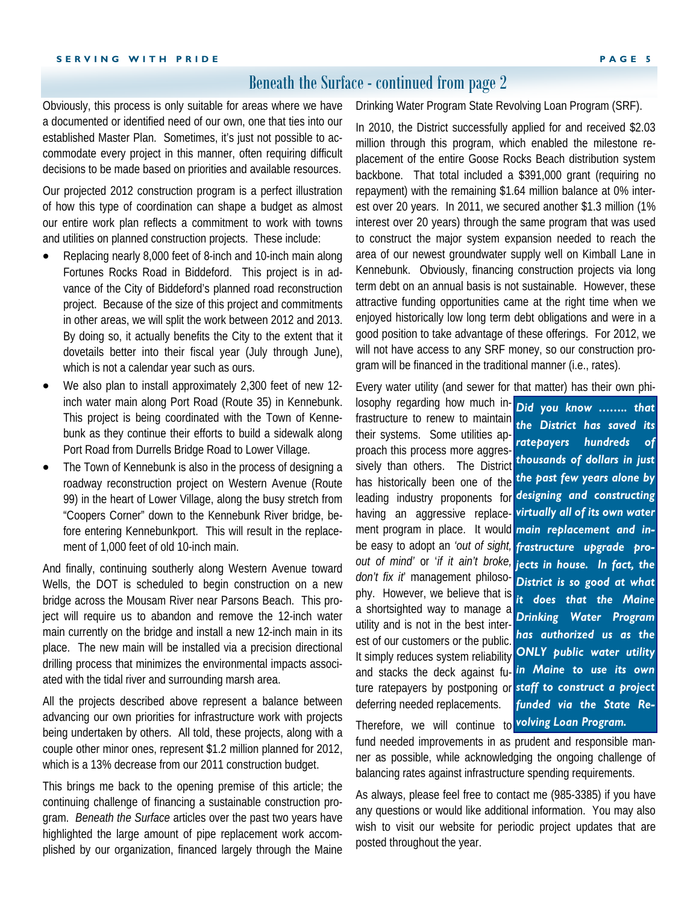#### Beneath the Surface - continued from page 2

Obviously, this process is only suitable for areas where we have a documented or identified need of our own, one that ties into our established Master Plan. Sometimes, it's just not possible to accommodate every project in this manner, often requiring difficult decisions to be made based on priorities and available resources.

Our projected 2012 construction program is a perfect illustration of how this type of coordination can shape a budget as almost our entire work plan reflects a commitment to work with towns and utilities on planned construction projects. These include:

- Replacing nearly 8,000 feet of 8-inch and 10-inch main along Fortunes Rocks Road in Biddeford. This project is in advance of the City of Biddeford's planned road reconstruction project. Because of the size of this project and commitments in other areas, we will split the work between 2012 and 2013. By doing so, it actually benefits the City to the extent that it dovetails better into their fiscal year (July through June), which is not a calendar year such as ours.
- We also plan to install approximately 2,300 feet of new 12 inch water main along Port Road (Route 35) in Kennebunk. This project is being coordinated with the Town of Kennebunk as they continue their efforts to build a sidewalk along Port Road from Durrells Bridge Road to Lower Village.
- The Town of Kennebunk is also in the process of designing a roadway reconstruction project on Western Avenue (Route 99) in the heart of Lower Village, along the busy stretch from "Coopers Corner" down to the Kennebunk River bridge, before entering Kennebunkport. This will result in the replacement of 1,000 feet of old 10-inch main.

And finally, continuing southerly along Western Avenue toward Wells, the DOT is scheduled to begin construction on a new bridge across the Mousam River near Parsons Beach. This project will require us to abandon and remove the 12-inch water main currently on the bridge and install a new 12-inch main in its place. The new main will be installed via a precision directional drilling process that minimizes the environmental impacts associated with the tidal river and surrounding marsh area.

All the projects described above represent a balance between advancing our own priorities for infrastructure work with projects being undertaken by others. All told, these projects, along with a couple other minor ones, represent \$1.2 million planned for 2012, which is a 13% decrease from our 2011 construction budget.

This brings me back to the opening premise of this article; the continuing challenge of financing a sustainable construction program. *Beneath the Surface* articles over the past two years have highlighted the large amount of pipe replacement work accomplished by our organization, financed largely through the Maine

Drinking Water Program State Revolving Loan Program (SRF).

In 2010, the District successfully applied for and received \$2.03 million through this program, which enabled the milestone replacement of the entire Goose Rocks Beach distribution system backbone. That total included a \$391,000 grant (requiring no repayment) with the remaining \$1.64 million balance at 0% interest over 20 years. In 2011, we secured another \$1.3 million (1% interest over 20 years) through the same program that was used to construct the major system expansion needed to reach the area of our newest groundwater supply well on Kimball Lane in Kennebunk. Obviously, financing construction projects via long term debt on an annual basis is not sustainable. However, these attractive funding opportunities came at the right time when we enjoyed historically low long term debt obligations and were in a good position to take advantage of these offerings. For 2012, we will not have access to any SRF money, so our construction program will be financed in the traditional manner (i.e., rates).

Every water utility (and sewer for that matter) has their own phi-

losophy regarding how much infrastructure to renew to maintain their systems. Some utilities approach this process more aggressively than others. The District has historically been one of the leading industry proponents for *designing and constructing*  having an aggressive replacement program in place. It would *main replacement and in*be easy to adopt an *'out of sight, frastructure upgrade proout of mind'* or '*if it ain't broke, don't fix it*' management philosophy. However, we believe that is a shortsighted way to manage a utility and is not in the best interest of our customers or the public. It simply reduces system reliability and stacks the deck against future ratepayers by postponing or *staff to construct a project*  deferring needed replacements.

*Did you know …….. that the District has saved its ratepayers hundreds of thousands of dollars in just the past few years alone by virtually all of its own water jects in house. In fact, the District is so good at what it does that the Maine Drinking Water Program has authorized us as the ONLY public water utility in Maine to use its own funded via the State Re-*

Therefore, we will continue to *volving Loan Program.* 

fund needed improvements in as prudent and responsible manner as possible, while acknowledging the ongoing challenge of balancing rates against infrastructure spending requirements.

As always, please feel free to contact me (985-3385) if you have any questions or would like additional information. You may also wish to visit our website for periodic project updates that are posted throughout the year.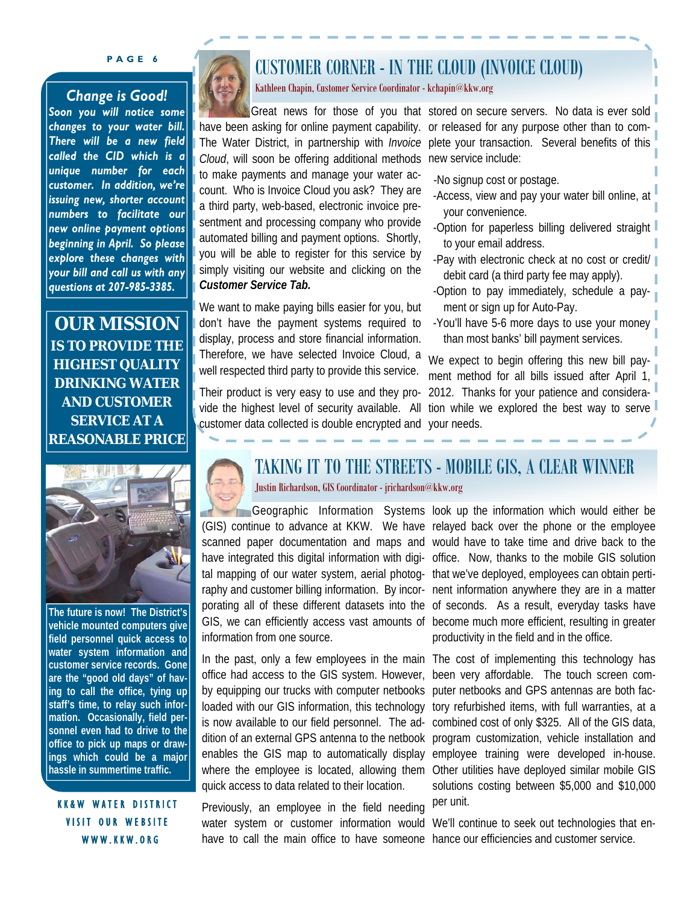#### **PAGE 6**

#### *Change is Good!*

*Soon you will notice some changes to your water bill. There will be a new field called the CID which is a unique number for each customer. In addition, we're issuing new, shorter account numbers to facilitate our new online payment options beginning in April. So please explore these changes with your bill and call us with any questions at 207-985-3385.* 

**OUR MISSION IS TO PROVIDE THE HIGHEST QUALITY DRINKING WATER AND CUSTOMER SERVICE AT A REASONABLE PRICE** 



**The future is now! The District's vehicle mounted computers give field personnel quick access to water system information and customer service records. Gone are the "good old days" of having to call the office, tying up staff's time, to relay such information. Occasionally, field personnel even had to drive to the office to pick up maps or drawings which could be a major hassle in summertime traffic.** 

KK&W WATER DISTRICT VISIT OUR WEBSITE WWW.KKW.ORG



# CUSTOMER CORNER - IN THE CLOUD (INVOICE CLOUD)

Kathleen Chapin, Customer Service Coordinator - kchapin@kkw.org

*Cloud*, will soon be offering additional methods new service include: to make payments and manage your water account. Who is Invoice Cloud you ask? They are a third party, web-based, electronic invoice presentment and processing company who provide automated billing and payment options. Shortly, you will be able to register for this service by simply visiting our website and clicking on the *Customer Service Tab.*

We want to make paying bills easier for you, but don't have the payment systems required to display, process and store financial information. Therefore, we have selected Invoice Cloud, a well respected third party to provide this service.

Their product is very easy to use and they procustomer data collected is double encrypted and your needs.

Great news for those of you that stored on secure servers. No data is ever sold have been asking for online payment capability. or released for any purpose other than to com-The Water District, in partnership with *Invoice*  plete your transaction. Several benefits of this

- -No signup cost or postage.
- -Access, view and pay your water bill online, at your convenience.
- -Option for paperless billing delivered straight to your email address.
- -Pay with electronic check at no cost or credit/ debit card (a third party fee may apply).
- -Option to pay immediately, schedule a payment or sign up for Auto-Pay.
- -You'll have 5-6 more days to use your money than most banks' bill payment services.

vide the highest level of security available. All tion while we explored the best way to serve We expect to begin offering this new bill payment method for all bills issued after April 1, 2012. Thanks for your patience and considera-



# TAKING IT TO THE STREETS - MOBILE GIS, A CLEAR WINNER

Justin Richardson, GIS Coordinator - jrichardson@kkw.org

tal mapping of our water system, aerial photog- that we've deployed, employees can obtain pertiinformation from one source.

office had access to the GIS system. However, been very affordable. The touch screen comby equipping our trucks with computer netbooks puter netbooks and GPS antennas are both facloaded with our GIS information, this technology tory refurbished items, with full warranties, at a is now available to our field personnel. The addition of an external GPS antenna to the netbook enables the GIS map to automatically display where the employee is located, allowing them Other utilities have deployed similar mobile GIS quick access to data related to their location.

Previously, an employee in the field needing water system or customer information would We'll continue to seek out technologies that enhave to call the main office to have someone hance our efficiencies and customer service.

Geographic Information Systems look up the information which would either be (GIS) continue to advance at KKW. We have relayed back over the phone or the employee scanned paper documentation and maps and would have to take time and drive back to the have integrated this digital information with digi- office. Now, thanks to the mobile GIS solution raphy and customer billing information. By incor- nent information anywhere they are in a matter porating all of these different datasets into the of seconds. As a result, everyday tasks have GIS, we can efficiently access vast amounts of become much more efficient, resulting in greater productivity in the field and in the office.

In the past, only a few employees in the main The cost of implementing this technology has combined cost of only \$325. All of the GIS data, program customization, vehicle installation and employee training were developed in-house. solutions costing between \$5,000 and \$10,000 per unit.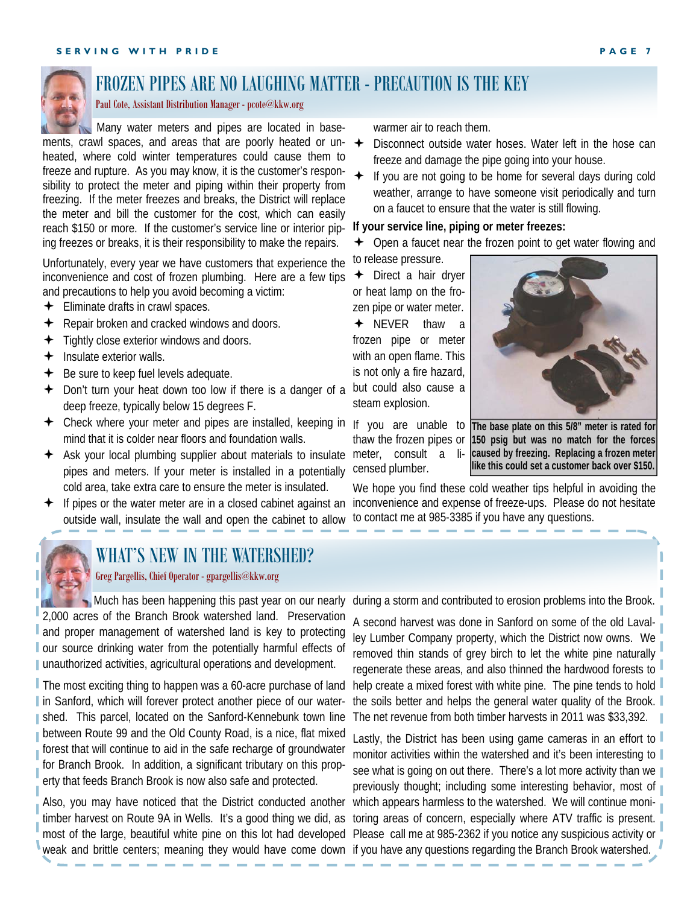

# FROZEN PIPES ARE NO LAUGHING MATTER - PRECAUTION IS THE KEY

Paul Cote, Assistant Distribution Manager - pcote@kkw.org

 Many water meters and pipes are located in basements, crawl spaces, and areas that are poorly heated or un- $\leftrightarrow$ heated, where cold winter temperatures could cause them to freeze and rupture. As you may know, it is the customer's responsibility to protect the meter and piping within their property from freezing. If the meter freezes and breaks, the District will replace the meter and bill the customer for the cost, which can easily reach \$150 or more. If the customer's service line or interior piping freezes or breaks, it is their responsibility to make the repairs.

Unfortunately, every year we have customers that experience the inconvenience and cost of frozen plumbing. Here are a few tips and precautions to help you avoid becoming a victim:

- $\div$  Eliminate drafts in crawl spaces.
- $\triangleleft$  Repair broken and cracked windows and doors.
- $\div$  Tightly close exterior windows and doors.
- $\leftarrow$  Insulate exterior walls.
- $\div$  Be sure to keep fuel levels adequate.
- $\div$  Don't turn your heat down too low if there is a danger of a deep freeze, typically below 15 degrees F.
- Check where your meter and pipes are installed, keeping in If you are unable to mind that it is colder near floors and foundation walls.
- Ask your local plumbing supplier about materials to insulate meter, consult a lipipes and meters. If your meter is installed in a potentially cold area, take extra care to ensure the meter is insulated.
- $\div$  If pipes or the water meter are in a closed cabinet against an outside wall, insulate the wall and open the cabinet to allow



### WHAT'S NEW IN THE WATERSHED?

#### Greg Pargellis, Chief Operator - gpargellis@kkw.org

Much has been happening this past year on our nearly 2,000 acres of the Branch Brook watershed land. Preservation and proper management of watershed land is key to protecting our source drinking water from the potentially harmful effects of **unauthorized activities, agricultural operations and development.** 

The most exciting thing to happen was a 60-acre purchase of land I in Sanford, which will forever protect another piece of our watershed. This parcel, located on the Sanford-Kennebunk town line between Route 99 and the Old County Road, is a nice, flat mixed forest that will continue to aid in the safe recharge of groundwater for Branch Brook. In addition, a significant tributary on this property that feeds Branch Brook is now also safe and protected.

Also, you may have noticed that the District conducted another most of the large, beautiful white pine on this lot had developed Please call me at 985-2362 if you notice any suspicious activity or weak and brittle centers; meaning they would have come down if you have any questions regarding the Branch Brook watershed.

warmer air to reach them.

- Disconnect outside water hoses. Water left in the hose can freeze and damage the pipe going into your house.
- If you are not going to be home for several days during cold weather, arrange to have someone visit periodically and turn on a faucet to ensure that the water is still flowing.

#### **If your service line, piping or meter freezes:**

Open a faucet near the frozen point to get water flowing and to release pressure.

**←** Direct a hair dryer or heat lamp on the frozen pipe or water meter.

NEVER thaw a frozen pipe or meter with an open flame. This is not only a fire hazard, but could also cause a steam explosion.

thaw the frozen pipes or censed plumber.



**The base plate on this 5/8" meter is rated for 150 psig but was no match for the forces caused by freezing. Replacing a frozen meter like this could set a customer back over \$150.** 

We hope you find these cold weather tips helpful in avoiding the inconvenience and expense of freeze-ups. Please do not hesitate to contact me at 985-3385 if you have any questions.

during a storm and contributed to erosion problems into the Brook.

A second harvest was done in Sanford on some of the old Lavalley Lumber Company property, which the District now owns. We removed thin stands of grey birch to let the white pine naturally regenerate these areas, and also thinned the hardwood forests to help create a mixed forest with white pine. The pine tends to hold the soils better and helps the general water quality of the Brook. The net revenue from both timber harvests in 2011 was \$33,392.

timber harvest on Route 9A in Wells. It's a good thing we did, as toring areas of concern, especially where ATV traffic is present. Lastly, the District has been using game cameras in an effort to monitor activities within the watershed and it's been interesting to see what is going on out there. There's a lot more activity than we previously thought; including some interesting behavior, most of which appears harmless to the watershed. We will continue moni-